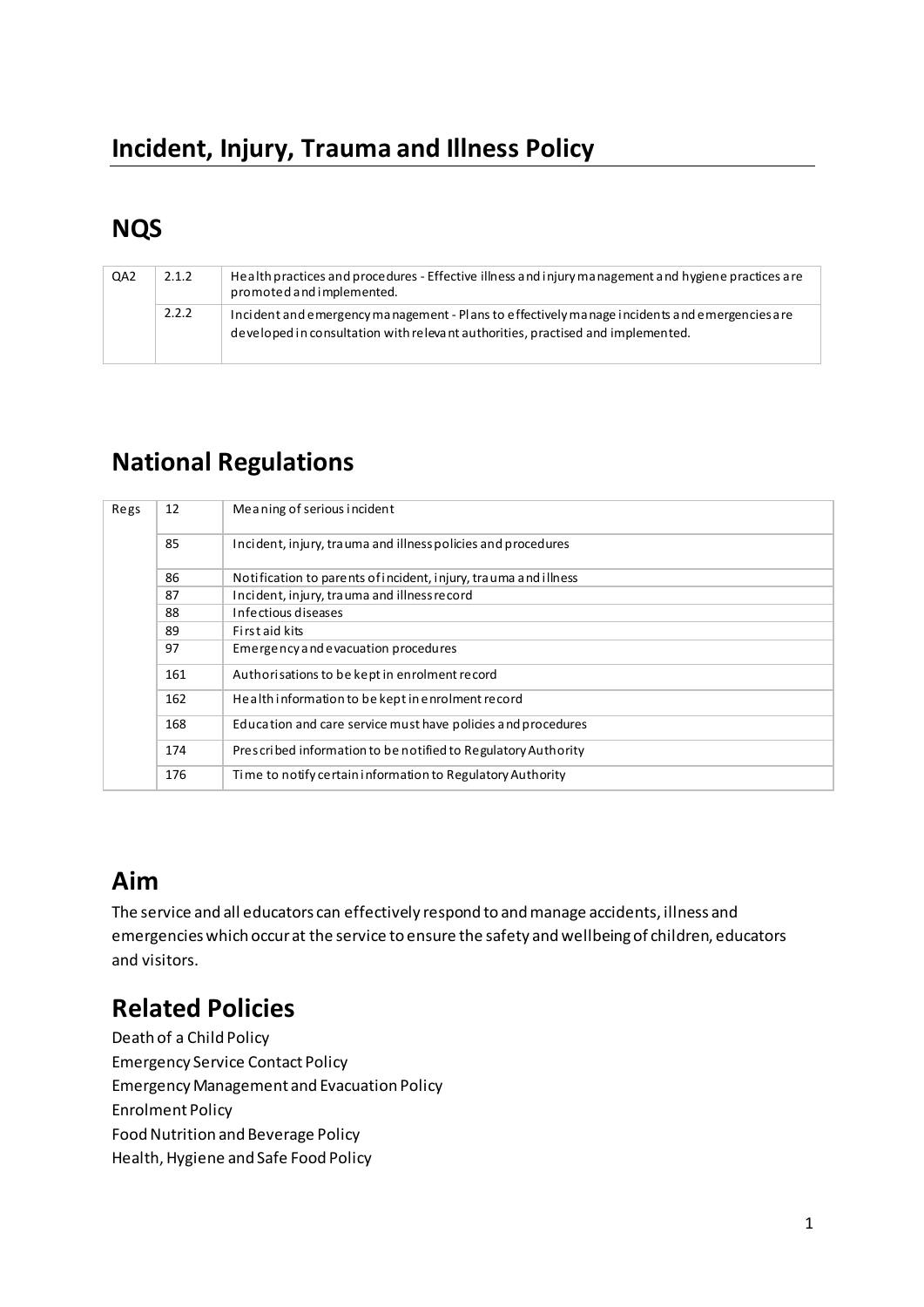# **NQS**

| QA <sub>2</sub> | 2.1.2 | Health practices and procedures - Effective illness and injury management and hygiene practices are<br>promoted and implemented.                                                 |
|-----------------|-------|----------------------------------------------------------------------------------------------------------------------------------------------------------------------------------|
|                 | 2.2.2 | Incident and emergency management - Plans to effectively manage incidents and emergencies are<br>developed in consultation with relevant authorities, practised and implemented. |

# **National Regulations**

| Regs | 12  | Meaning of serious incident                                     |
|------|-----|-----------------------------------------------------------------|
|      | 85  | Incident, injury, trauma and illness policies and procedures    |
|      | 86  | Notification to parents of incident, injury, trauma and illness |
|      | 87  | Incident, injury, trauma and illness record                     |
|      | 88  | Infectious diseases                                             |
|      | 89  | First aid kits                                                  |
|      | 97  | Emergency and evacuation procedures                             |
|      | 161 | Authorisations to be kept in enrolment record                   |
|      | 162 | Health information to be kept in enrolment record               |
|      | 168 | Education and care service must have policies and procedures    |
|      | 174 | Prescribed information to be notified to Regulatory Authority   |
|      | 176 | Time to notify certain information to Regulatory Authority      |

# **Aim**

The service and all educators can effectively respond to and manage accidents, illness and emergencies which occur at the service to ensure the safety and wellbeing of children, educators and visitors.

# **Related Policies**

Death of a Child Policy Emergency Service Contact Policy Emergency Management and Evacuation Policy Enrolment Policy Food Nutrition and Beverage Policy Health, Hygiene and Safe Food Policy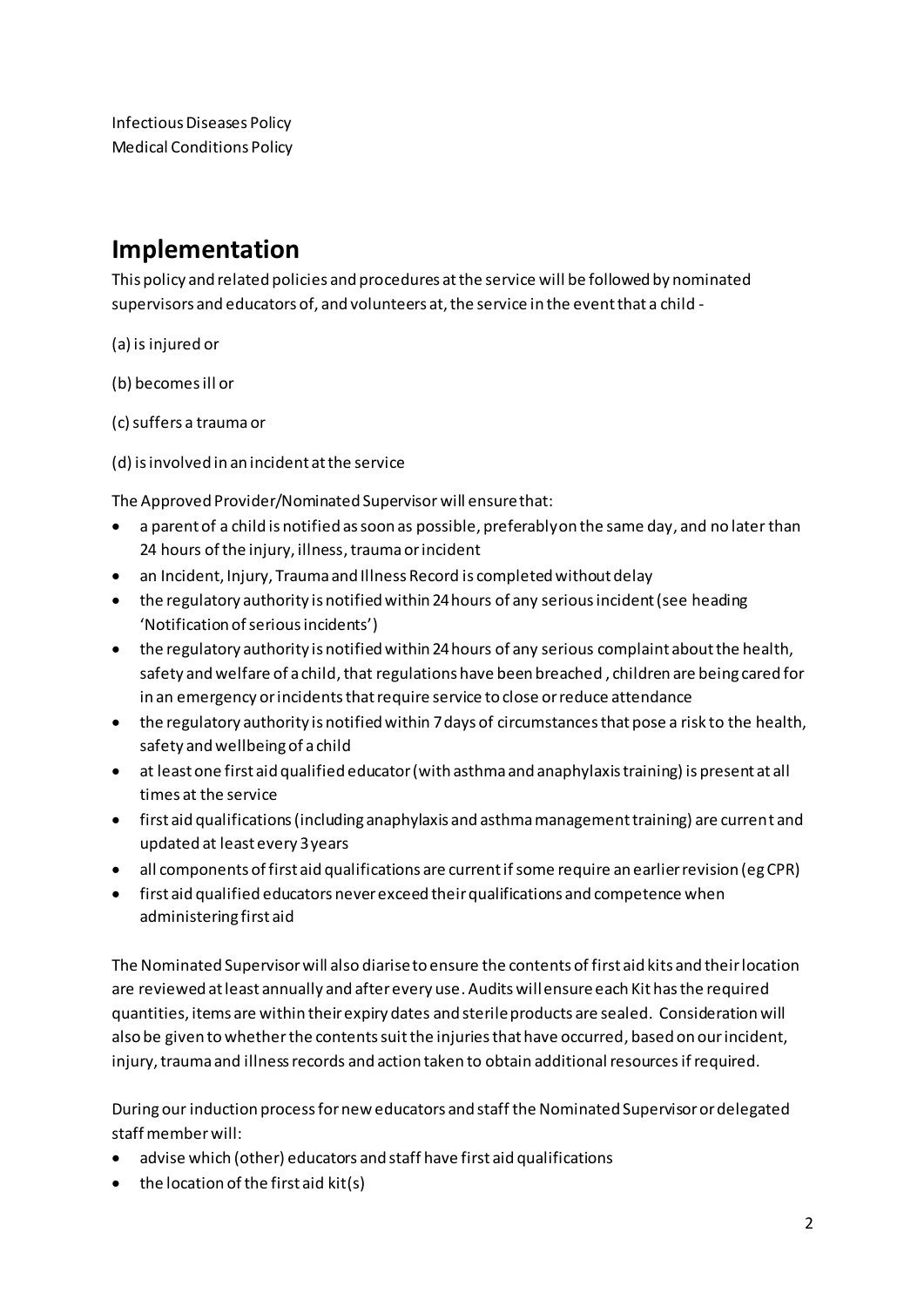# **Implementation**

This policy and related policies and procedures at the service will be followed by nominated supervisors and educators of, and volunteers at, the service in the event that a child -

- (a) is injured or
- (b) becomes ill or
- (c) suffers a trauma or
- (d) is involved in an incident at the service

The Approved Provider/Nominated Supervisor will ensure that:

- a parent of a child is notified as soon as possible, preferably on the same day, and no later than 24 hours of the injury, illness, trauma or incident
- an Incident, Injury, Trauma and Illness Record is completed without delay
- the regulatory authority is notified within 24 hours of any serious incident (see heading 'Notification of serious incidents')
- the regulatory authority is notified within 24 hours of any serious complaint about the health, safety and welfare of a child, that regulations have been breached , children are being cared for in an emergency or incidents that require service to close or reduce attendance
- the regulatory authority is notified within 7 days of circumstances that pose a risk to the health, safety and wellbeing of a child
- at least one first aid qualified educator (with asthma and anaphylaxis training) is present at all times at the service
- first aid qualifications (including anaphylaxis and asthma management training) are current and updated at least every 3 years
- all components of first aid qualifications are current if some require an earlier revision (eg CPR)
- first aid qualified educators never exceed their qualifications and competence when administering first aid

The Nominated Supervisor will also diarise to ensure the contents of first aid kits and their location are reviewed at least annually and after every use. Audits will ensure each Kit has the required quantities, items are within their expiry dates and sterile products are sealed. Consideration will also be given to whether the contents suit the injuries that have occurred, based on our incident, injury, trauma and illness records and action taken to obtain additional resources if required.

During our induction process for new educators and staff the Nominated Supervisor or delegated staff member will:

- advise which (other) educators and staff have first aid qualifications
- $\bullet$  the location of the first aid kit(s)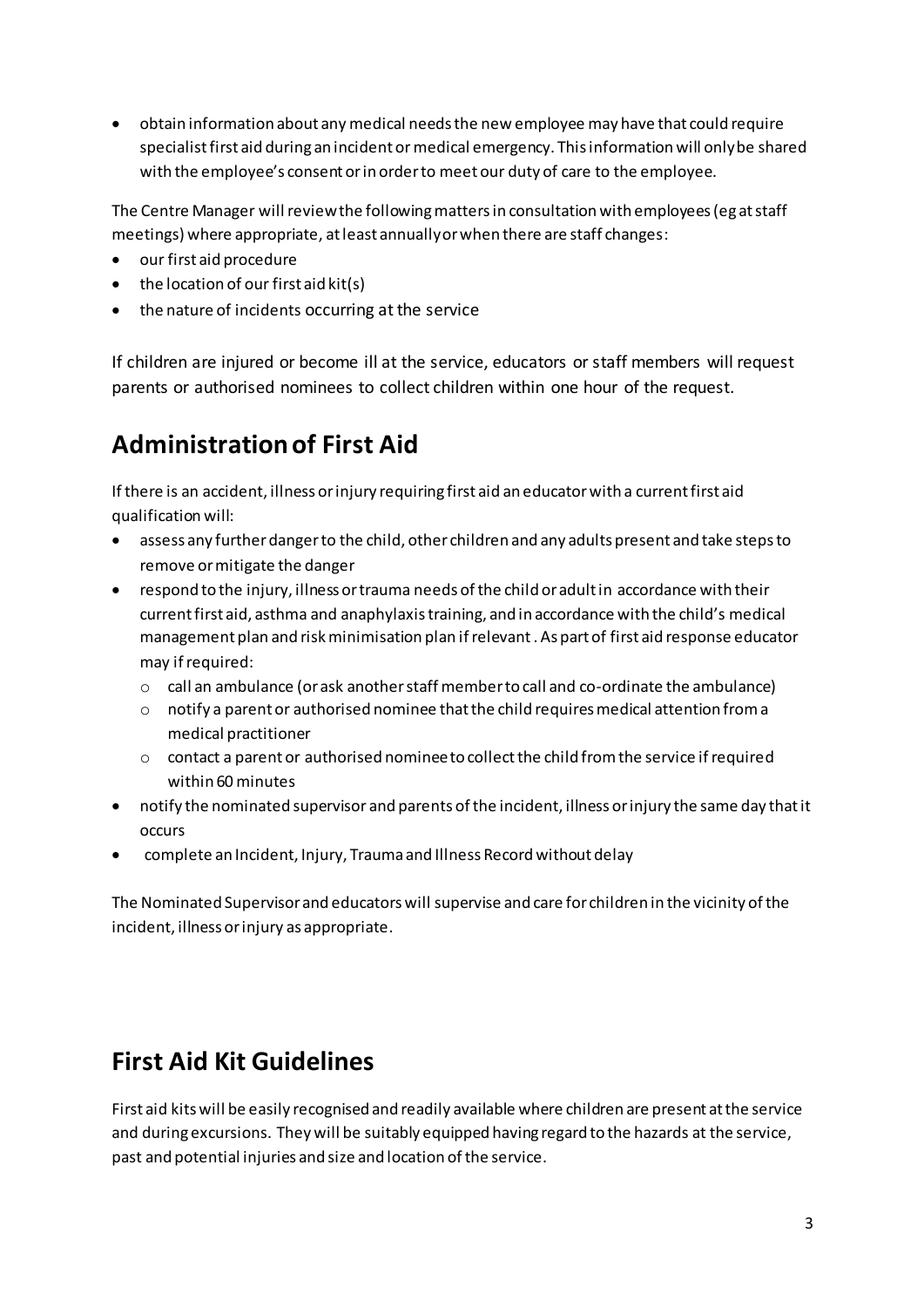• obtain information about any medical needs the new employee may have that could require specialist first aid during an incident or medical emergency. This information will only be shared with the employee's consent or in order to meet our duty of care to the employee.

The Centre Manager will review the following matters in consultation with employees (eg at staff meetings) where appropriate, at least annually or when there are staff changes:

- our first aid procedure
- $\bullet$  the location of our first aid kit(s)
- the nature of incidents occurring at the service

If children are injured or become ill at the service, educators or staff members will request parents or authorised nominees to collect children within one hour of the request.

# **Administration of First Aid**

If there is an accident, illness or injury requiring first aid an educator with a current first aid qualification will:

- assess any further danger to the child, other children and any adults present and take steps to remove or mitigate the danger
- respond to the injury, illness or trauma needs of the child or adult in accordance with their current first aid, asthma and anaphylaxis training, and in accordance with the child's medical management plan and risk minimisation plan if relevant . As part of first aid response educator may if required:
	- o call an ambulance (or ask another staff member to call and co-ordinate the ambulance)
	- $\circ$  notify a parent or authorised nominee that the child requires medical attention from a medical practitioner
	- $\circ$  contact a parent or authorised nominee to collect the child from the service if required within 60 minutes
- notify the nominated supervisor and parents of the incident, illness or injury the same day that it occurs
- complete an Incident, Injury, Trauma and Illness Record without delay

The Nominated Supervisor and educators will supervise and care for children in the vicinity of the incident, illness or injury as appropriate.

# **First Aid Kit Guidelines**

First aid kits will be easily recognised and readily available where children are present at the service and during excursions. They will be suitably equipped having regard to the hazards at the service, past and potential injuries and size and location of the service.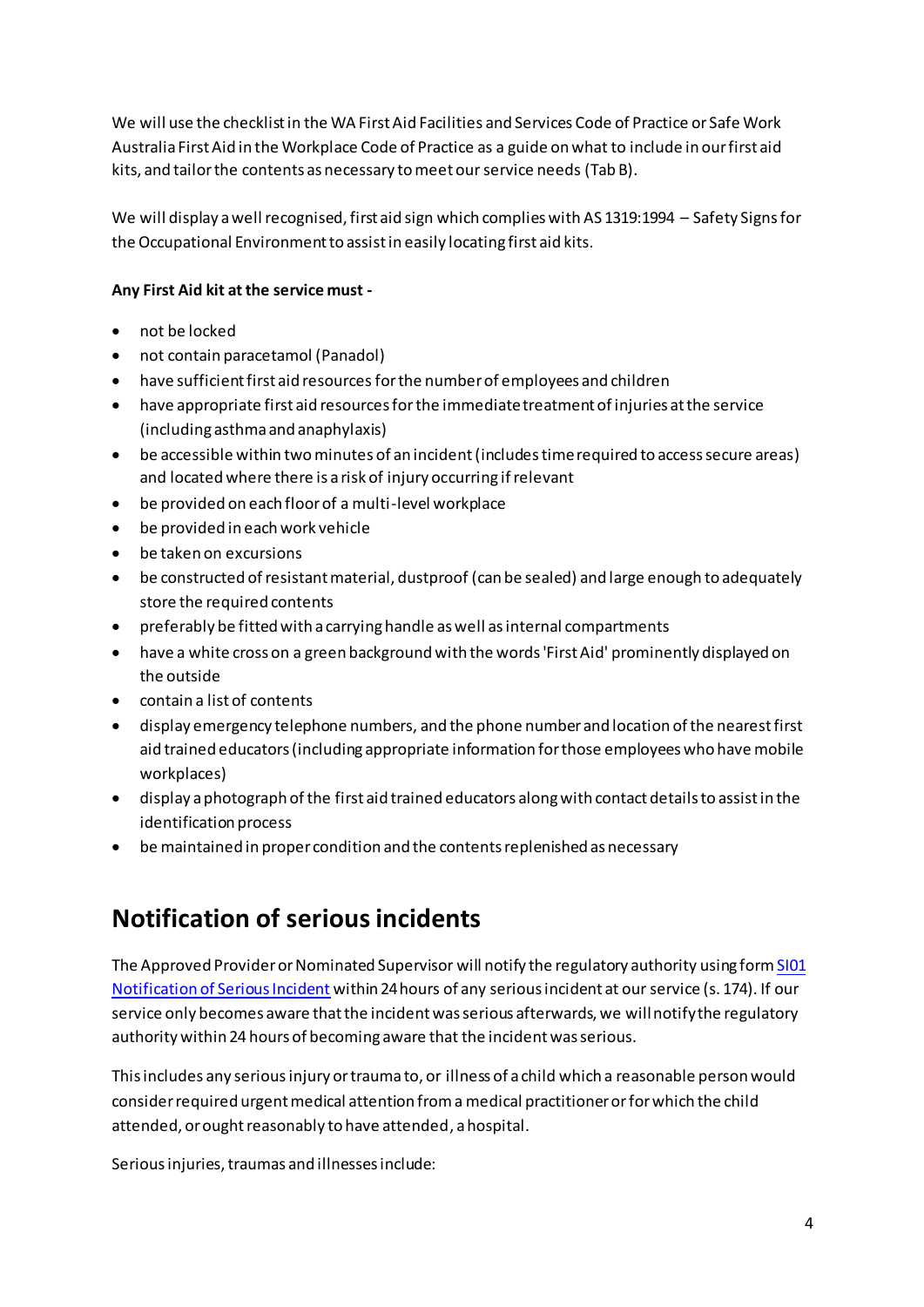We will use the checklist in the WA First Aid Facilities and Services Code of Practice or Safe Work Australia First Aid in the Workplace Code of Practice as a guide on what to include in our first aid kits, and tailor the contents as necessary to meet our service needs (Tab B).

We will display a well recognised, first aid sign which complies with AS 1319:1994 – Safety Signs for the Occupational Environment to assist in easily locating first aid kits.

## **Any First Aid kit at the service must -**

- not be locked
- not contain paracetamol (Panadol)
- have sufficient first aid resources for the number of employees and children
- have appropriate first aid resources for the immediate treatment of injuries at the service (including asthma and anaphylaxis)
- be accessible within two minutes of an incident (includes time required to access secure areas) and located where there is a risk of injury occurring if relevant
- be provided on each floor of a multi-level workplace
- be provided in each work vehicle
- be taken on excursions
- be constructed of resistant material, dustproof (can be sealed) and large enough to adequately store the required contents
- preferably be fitted with a carrying handle as well as internal compartments
- have a white cross on a green background with the words 'First Aid' prominently displayed on the outside
- contain a list of contents
- display emergency telephone numbers, and the phone number and location of the nearest first aid trained educators (including appropriate information for those employees who have mobile workplaces)
- display a photograph of the first aid trained educators along with contact details to assist in the identification process
- be maintained in proper condition and the contents replenished as necessary

# **Notification of serious incidents**

The Approved Provider or Nominated Supervisor will notify the regulatory authority using for[m SI01](http://acecqa.gov.au/application-forms/)  [Notification of Serious Incident](http://acecqa.gov.au/application-forms/) within 24 hours of any serious incident at our service (s. 174). If our service only becomes aware that the incident was serious afterwards, we will notify the regulatory authority within 24 hours of becoming aware that the incident was serious.

This includes any serious injury or trauma to, or illness of a child which a reasonable person would consider required urgent medical attention from a medical practitioner or for which the child attended, or ought reasonably to have attended, a hospital.

Serious injuries, traumas and illnesses include: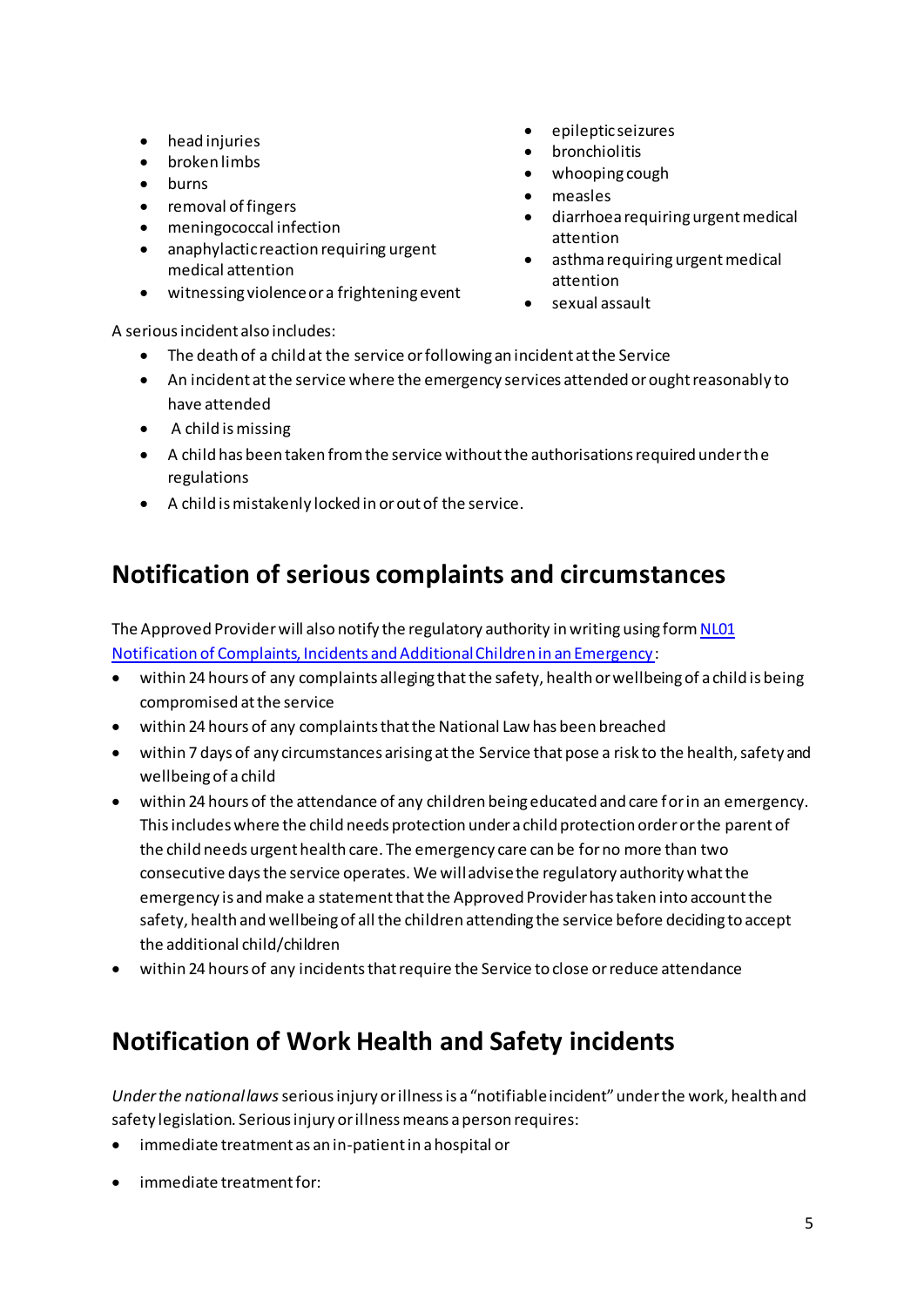- head injuries
- broken limbs
- burns
- removal of fingers
- meningococcal infection
- anaphylactic reaction requiring urgent medical attention
- witnessing violence or a frightening event
- epileptic seizures
- bronchiolitis
- whooping cough
- measles
- diarrhoea requiring urgent medical attention
- asthma requiring urgent medical attention
- sexual assault

A serious incident also includes:

- The death of a child at the service or following an incident at the Service
- An incident at the service where the emergency services attended or ought reasonably to have attended
- A child is missing
- A child has been taken from the service without the authorisations required under the regulations
- A child is mistakenly locked in or out of the service.

# **Notification of serious complaints and circumstances**

The Approved Provider will also notify the regulatory authority in writing using form NL01 [Notification of Complaints, Incidents and Additional Children in an Emergency](http://acecqa.gov.au/educators-and-providers1/applications):

- within 24 hours of any complaints alleging that the safety, health or wellbeing of a child is being compromised at the service
- within 24 hours of any complaints that the National Law has been breached
- within 7 days of any circumstances arising at the Service that pose a risk to the health, safety and wellbeing of a child
- within 24 hours of the attendance of any children being educated and care for in an emergency. This includes where the child needs protection under a child protection order or the parent of the child needs urgent health care. The emergency care can be for no more than two consecutive days the service operates. We will advise the regulatory authority what the emergency is and make a statement that the Approved Provider has taken into account the safety, health and wellbeing of all the children attending the service before deciding to accept the additional child/children
- within 24 hours of any incidents that require the Service to close or reduce attendance

# **Notification of Work Health and Safety incidents**

*Under the national laws* serious injury or illness is a "notifiable incident" under the work, health and safety legislation. Serious injury or illness means a person requires:

- immediate treatment as an in-patient in a hospital or
- immediate treatment for: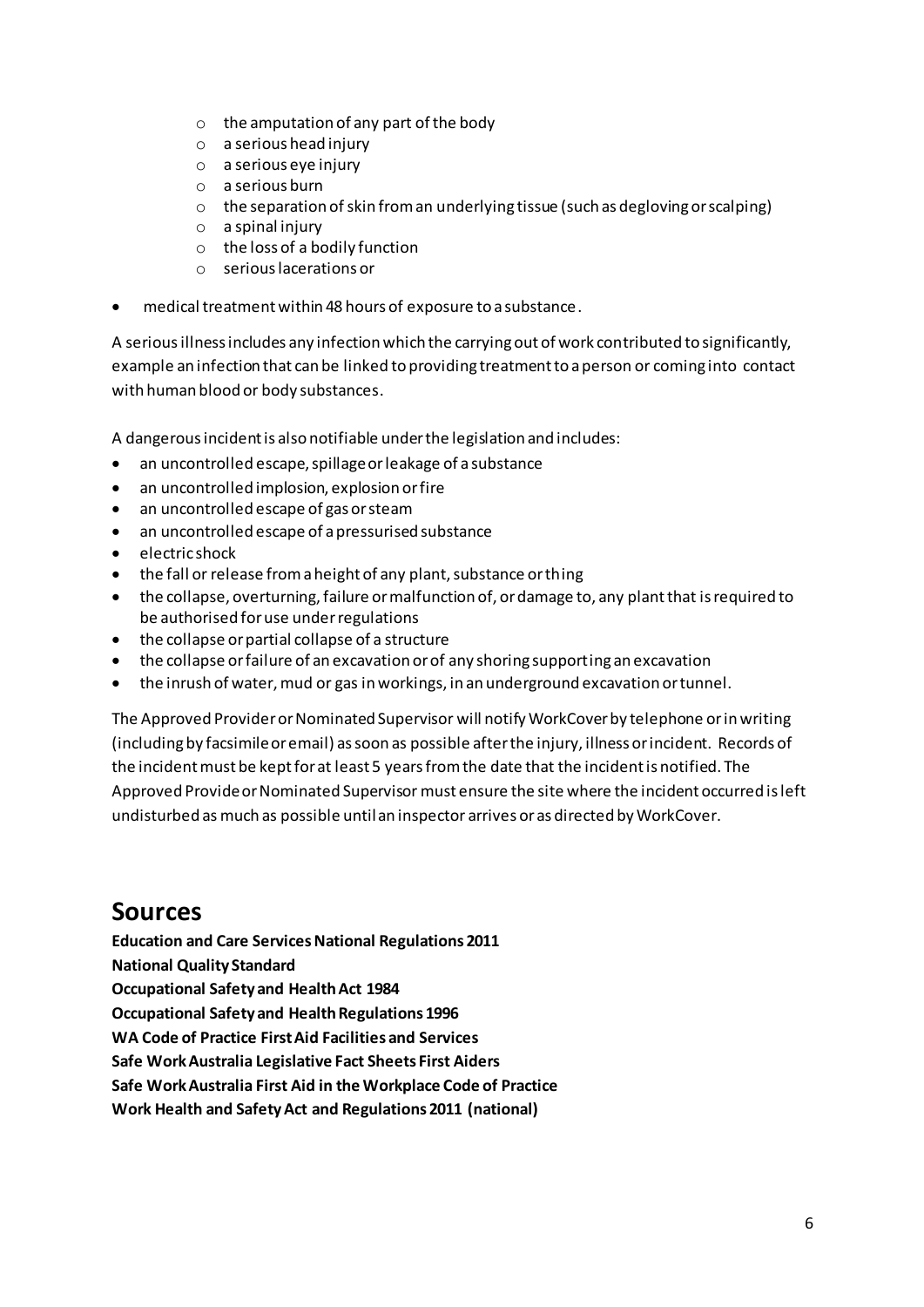- o the amputation of any part of the body
- o a serious head injury
- o a serious eye injury
- o a serious burn
- o the separation of skin from an underlying tissue (such as degloving or scalping)
- o a spinal injury
- o the loss of a bodily function
- o serious lacerations or
- medical treatment within 48 hours of exposure to a substance.

A serious illness includes any infection which the carrying out of work contributed to significantly, example an infection that can be linked to providing treatment to a person or coming into contact with human blood or body substances.

A dangerous incident is also notifiable under the legislation and includes:

- an uncontrolled escape, spillage or leakage of a substance
- an uncontrolled implosion, explosion or fire
- an uncontrolled escape of gas or steam
- an uncontrolled escape of a pressurised substance
- electric shock
- the fall or release from a height of any plant, substance or thing
- the collapse, overturning, failure or malfunction of, or damage to, any plant that is required to be authorised for use under regulations
- the collapse or partial collapse of a structure
- the collapse or failure of an excavation or of any shoring supporting an excavation
- the inrush of water, mud or gas in workings, in an underground excavation or tunnel.

The Approved Provider or Nominated Supervisor will notify WorkCover by telephone or in writing (including by facsimile or email) as soon as possible after the injury, illness or incident. Records of the incident must be kept for at least 5 years from the date that the incident is notified. The Approved Provide or Nominated Supervisor must ensure the site where the incident occurred is left undisturbed as much as possible until an inspector arrives or as directed by WorkCover.

## **Sources**

**Education and Care Services National Regulations 2011 National Quality Standard Occupational Safety and Health Act 1984 Occupational Safety and Health Regulations 1996 WA Code of Practice First Aid Facilities and Services Safe Work Australia Legislative Fact Sheets First Aiders Safe Work Australia First Aid in the Workplace Code of Practice Work Health and Safety Act and Regulations 2011 (national)**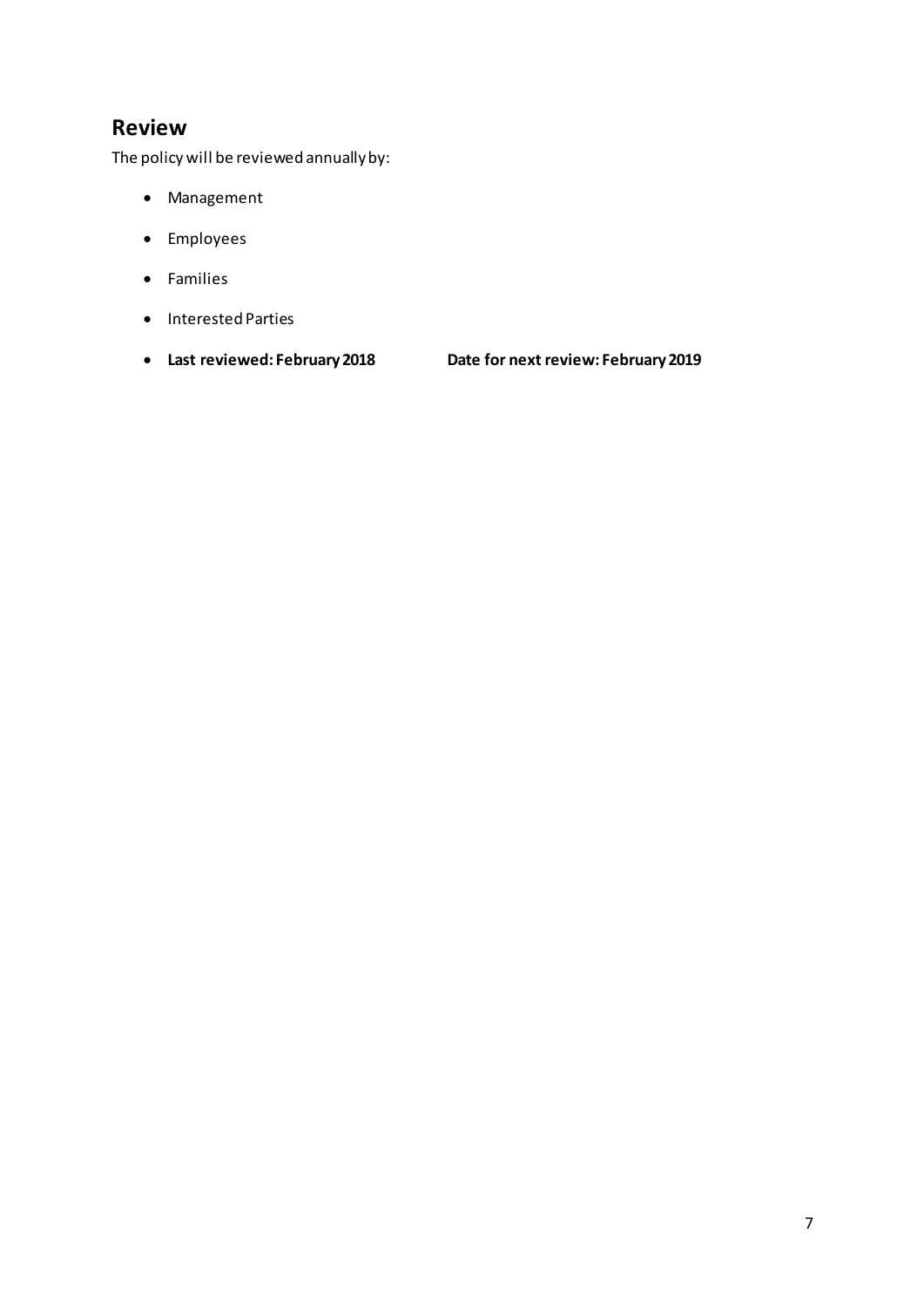## **Review**

The policy will be reviewed annually by:

- Management
- Employees
- Families
- Interested Parties
- 

• **Last reviewed: February 2018 Date for next review: February 2019**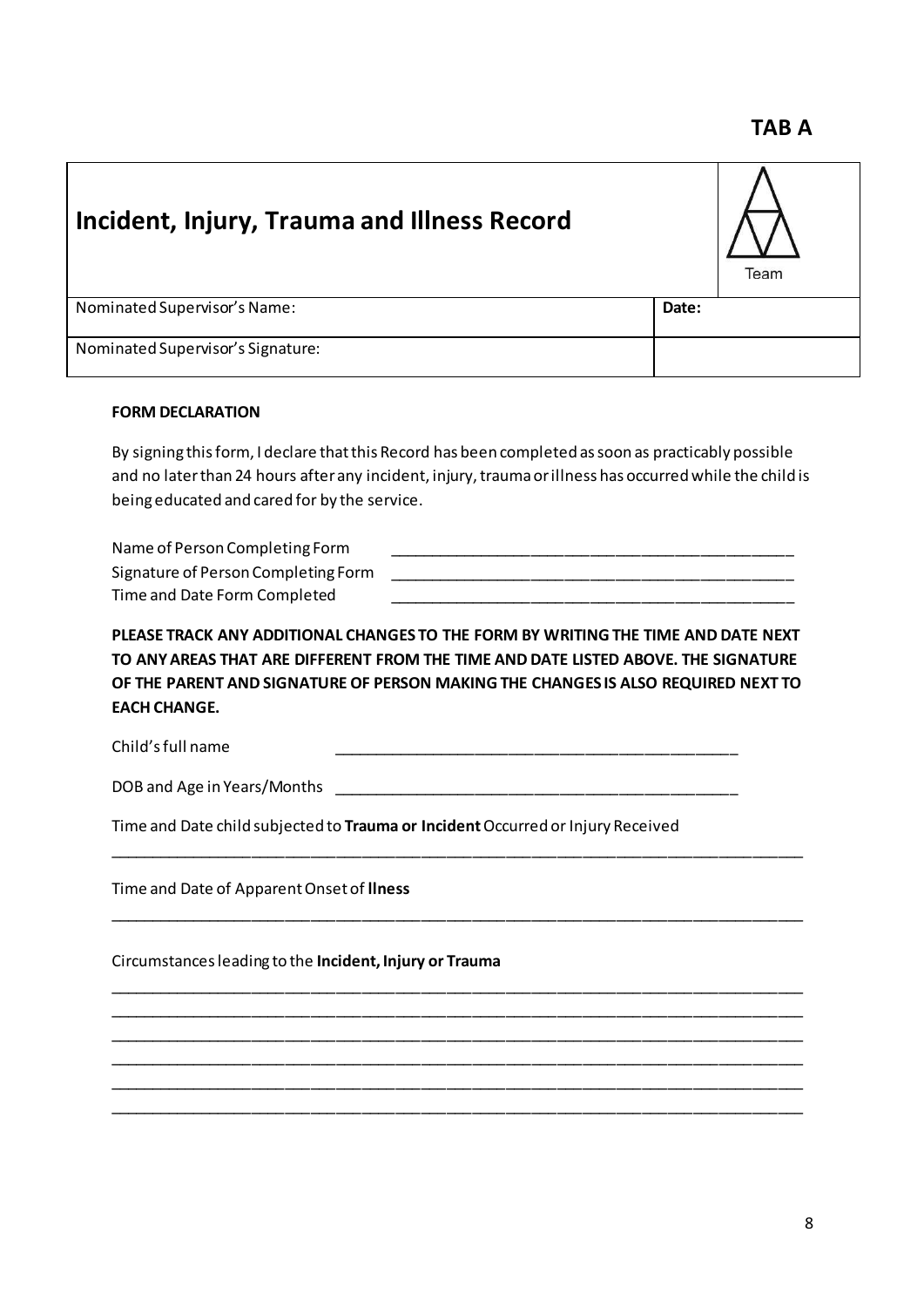# **Incident, Injury, Trauma and Illness Record** Team Nominated Supervisor's Name: **Date: Date: Date: Date: Date: Date: Date: Date: Date: Date: Date: Date: Date: Date: Date: Date: Date: Date: Date: Date: Date: Date: Date: Date:** Nominated Supervisor's Signature:

## **FORM DECLARATION**

By signing this form, I declare that this Record has been completed as soon as practicably possible and no later than 24 hours after any incident, injury, trauma or illness has occurred while the child is being educated and cared for by the service.

| Name of Person Completing Form      |  |
|-------------------------------------|--|
| Signature of Person Completing Form |  |
| Time and Date Form Completed        |  |

**PLEASE TRACK ANY ADDITIONAL CHANGES TO THE FORM BY WRITING THE TIME AND DATE NEXT TO ANY AREAS THAT ARE DIFFERENT FROM THE TIME AND DATE LISTED ABOVE. THE SIGNATURE OF THE PARENT AND SIGNATURE OF PERSON MAKING THE CHANGES IS ALSO REQUIRED NEXT TO EACH CHANGE.**

\_\_\_\_\_\_\_\_\_\_\_\_\_\_\_\_\_\_\_\_\_\_\_\_\_\_\_\_\_\_\_\_\_\_\_\_\_\_\_\_\_\_\_\_\_\_\_\_\_\_\_\_\_\_\_\_\_\_\_\_\_\_\_\_\_\_\_\_\_\_\_\_\_\_\_\_\_\_\_\_\_\_

\_\_\_\_\_\_\_\_\_\_\_\_\_\_\_\_\_\_\_\_\_\_\_\_\_\_\_\_\_\_\_\_\_\_\_\_\_\_\_\_\_\_\_\_\_\_\_\_\_\_\_\_\_\_\_\_\_\_\_\_\_\_\_\_\_\_\_\_\_\_\_\_\_\_\_\_\_\_\_\_\_\_

\_\_\_\_\_\_\_\_\_\_\_\_\_\_\_\_\_\_\_\_\_\_\_\_\_\_\_\_\_\_\_\_\_\_\_\_\_\_\_\_\_\_\_\_\_\_\_\_\_\_\_\_\_\_\_\_\_\_\_\_\_\_\_\_\_\_\_\_\_\_\_\_\_\_\_\_\_\_\_\_\_\_ \_\_\_\_\_\_\_\_\_\_\_\_\_\_\_\_\_\_\_\_\_\_\_\_\_\_\_\_\_\_\_\_\_\_\_\_\_\_\_\_\_\_\_\_\_\_\_\_\_\_\_\_\_\_\_\_\_\_\_\_\_\_\_\_\_\_\_\_\_\_\_\_\_\_\_\_\_\_\_\_\_\_ \_\_\_\_\_\_\_\_\_\_\_\_\_\_\_\_\_\_\_\_\_\_\_\_\_\_\_\_\_\_\_\_\_\_\_\_\_\_\_\_\_\_\_\_\_\_\_\_\_\_\_\_\_\_\_\_\_\_\_\_\_\_\_\_\_\_\_\_\_\_\_\_\_\_\_\_\_\_\_\_\_\_ \_\_\_\_\_\_\_\_\_\_\_\_\_\_\_\_\_\_\_\_\_\_\_\_\_\_\_\_\_\_\_\_\_\_\_\_\_\_\_\_\_\_\_\_\_\_\_\_\_\_\_\_\_\_\_\_\_\_\_\_\_\_\_\_\_\_\_\_\_\_\_\_\_\_\_\_\_\_\_\_\_\_ \_\_\_\_\_\_\_\_\_\_\_\_\_\_\_\_\_\_\_\_\_\_\_\_\_\_\_\_\_\_\_\_\_\_\_\_\_\_\_\_\_\_\_\_\_\_\_\_\_\_\_\_\_\_\_\_\_\_\_\_\_\_\_\_\_\_\_\_\_\_\_\_\_\_\_\_\_\_\_\_\_\_ \_\_\_\_\_\_\_\_\_\_\_\_\_\_\_\_\_\_\_\_\_\_\_\_\_\_\_\_\_\_\_\_\_\_\_\_\_\_\_\_\_\_\_\_\_\_\_\_\_\_\_\_\_\_\_\_\_\_\_\_\_\_\_\_\_\_\_\_\_\_\_\_\_\_\_\_\_\_\_\_\_\_

Child's full name

DOB and Age in Years/Months \_

Time and Date child subjected to **Trauma or Incident** Occurred or Injury Received

Time and Date of Apparent Onset of **llness**

Circumstances leading to the **Incident, Injury or Trauma**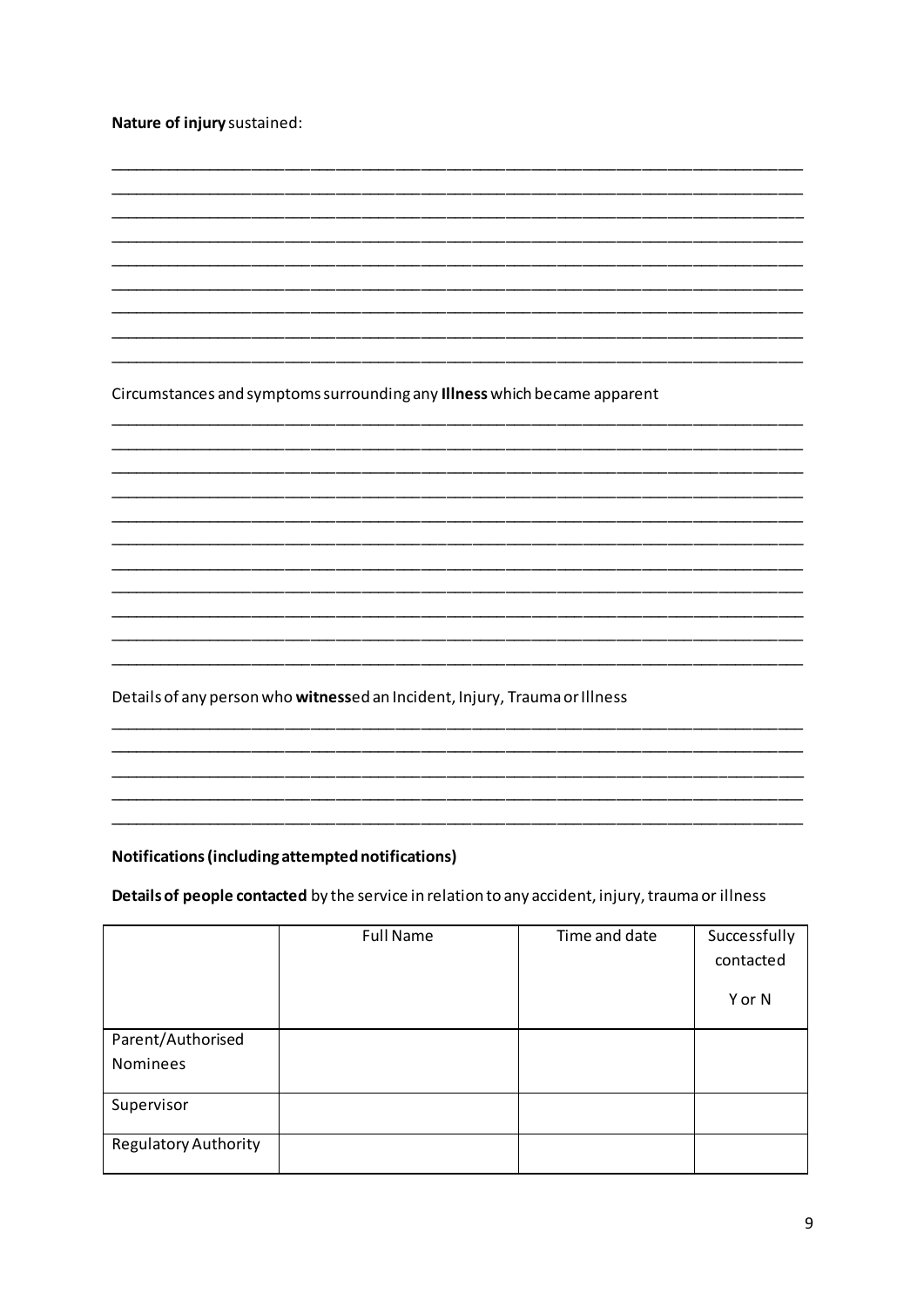|  |  |  | Nature of injury sustained: |
|--|--|--|-----------------------------|
|--|--|--|-----------------------------|

Circumstances and symptoms surrounding any Illness which became apparent

Details of any person who witnessed an Incident, Injury, Trauma or Illness

#### Notifications (including attempted notifications)

## Details of people contacted by the service in relation to any accident, injury, trauma or illness

|                             | <b>Full Name</b> | Time and date | Successfully |
|-----------------------------|------------------|---------------|--------------|
|                             |                  |               | contacted    |
|                             |                  |               | Y or N       |
| Parent/Authorised           |                  |               |              |
| Nominees                    |                  |               |              |
| Supervisor                  |                  |               |              |
| <b>Regulatory Authority</b> |                  |               |              |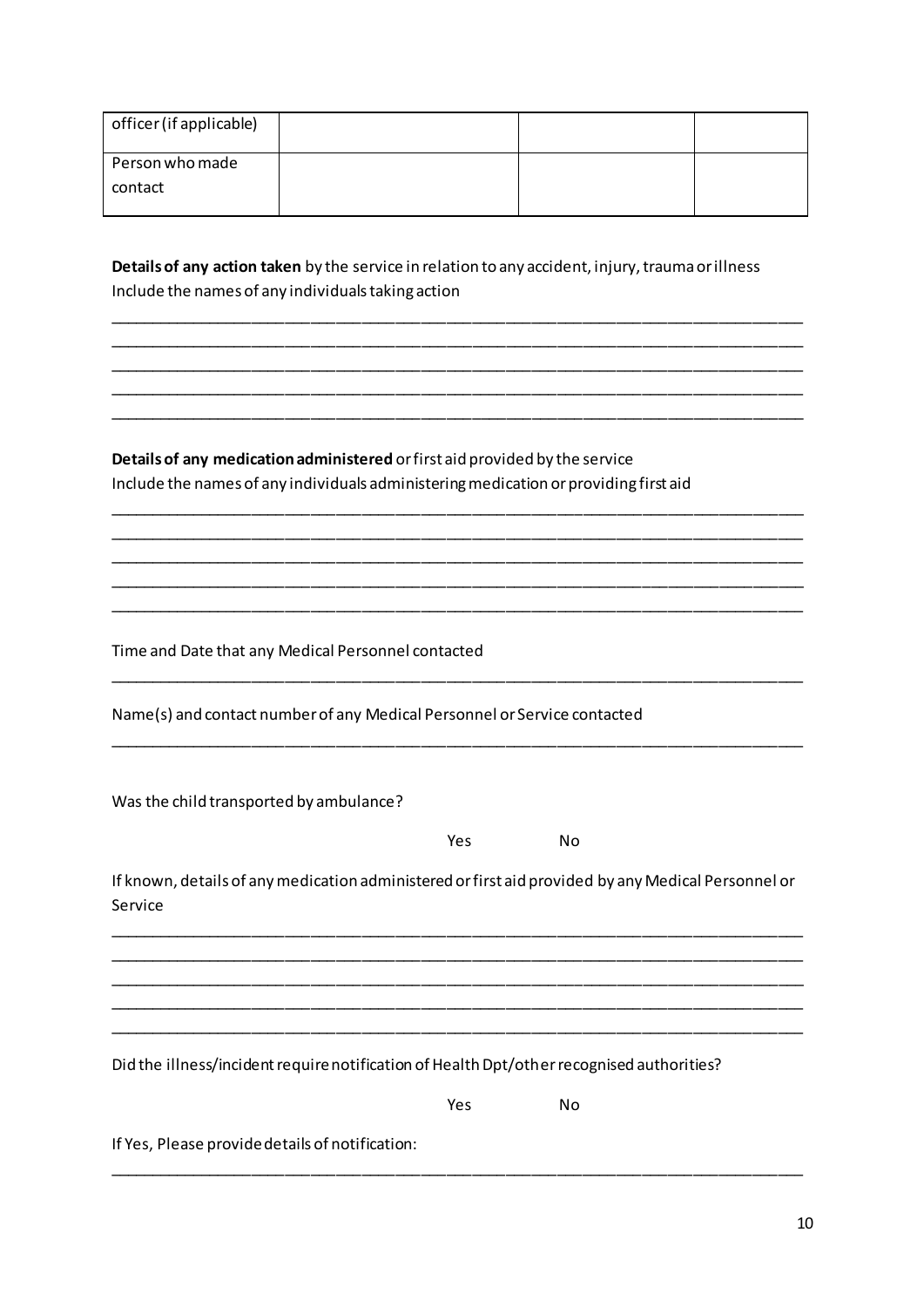| officer (if applicable) |  |  |
|-------------------------|--|--|
| Person who made         |  |  |
| contact                 |  |  |
|                         |  |  |

**Details of any action taken** by the service in relation to any accident, injury, trauma or illness Include the names of any individuals taking action

\_\_\_\_\_\_\_\_\_\_\_\_\_\_\_\_\_\_\_\_\_\_\_\_\_\_\_\_\_\_\_\_\_\_\_\_\_\_\_\_\_\_\_\_\_\_\_\_\_\_\_\_\_\_\_\_\_\_\_\_\_\_\_\_\_\_\_\_\_\_\_\_\_\_\_\_\_\_\_\_\_\_ \_\_\_\_\_\_\_\_\_\_\_\_\_\_\_\_\_\_\_\_\_\_\_\_\_\_\_\_\_\_\_\_\_\_\_\_\_\_\_\_\_\_\_\_\_\_\_\_\_\_\_\_\_\_\_\_\_\_\_\_\_\_\_\_\_\_\_\_\_\_\_\_\_\_\_\_\_\_\_\_\_\_ \_\_\_\_\_\_\_\_\_\_\_\_\_\_\_\_\_\_\_\_\_\_\_\_\_\_\_\_\_\_\_\_\_\_\_\_\_\_\_\_\_\_\_\_\_\_\_\_\_\_\_\_\_\_\_\_\_\_\_\_\_\_\_\_\_\_\_\_\_\_\_\_\_\_\_\_\_\_\_\_\_\_ \_\_\_\_\_\_\_\_\_\_\_\_\_\_\_\_\_\_\_\_\_\_\_\_\_\_\_\_\_\_\_\_\_\_\_\_\_\_\_\_\_\_\_\_\_\_\_\_\_\_\_\_\_\_\_\_\_\_\_\_\_\_\_\_\_\_\_\_\_\_\_\_\_\_\_\_\_\_\_\_\_\_ \_\_\_\_\_\_\_\_\_\_\_\_\_\_\_\_\_\_\_\_\_\_\_\_\_\_\_\_\_\_\_\_\_\_\_\_\_\_\_\_\_\_\_\_\_\_\_\_\_\_\_\_\_\_\_\_\_\_\_\_\_\_\_\_\_\_\_\_\_\_\_\_\_\_\_\_\_\_\_\_\_\_

\_\_\_\_\_\_\_\_\_\_\_\_\_\_\_\_\_\_\_\_\_\_\_\_\_\_\_\_\_\_\_\_\_\_\_\_\_\_\_\_\_\_\_\_\_\_\_\_\_\_\_\_\_\_\_\_\_\_\_\_\_\_\_\_\_\_\_\_\_\_\_\_\_\_\_\_\_\_\_\_\_\_ \_\_\_\_\_\_\_\_\_\_\_\_\_\_\_\_\_\_\_\_\_\_\_\_\_\_\_\_\_\_\_\_\_\_\_\_\_\_\_\_\_\_\_\_\_\_\_\_\_\_\_\_\_\_\_\_\_\_\_\_\_\_\_\_\_\_\_\_\_\_\_\_\_\_\_\_\_\_\_\_\_\_ \_\_\_\_\_\_\_\_\_\_\_\_\_\_\_\_\_\_\_\_\_\_\_\_\_\_\_\_\_\_\_\_\_\_\_\_\_\_\_\_\_\_\_\_\_\_\_\_\_\_\_\_\_\_\_\_\_\_\_\_\_\_\_\_\_\_\_\_\_\_\_\_\_\_\_\_\_\_\_\_\_\_ \_\_\_\_\_\_\_\_\_\_\_\_\_\_\_\_\_\_\_\_\_\_\_\_\_\_\_\_\_\_\_\_\_\_\_\_\_\_\_\_\_\_\_\_\_\_\_\_\_\_\_\_\_\_\_\_\_\_\_\_\_\_\_\_\_\_\_\_\_\_\_\_\_\_\_\_\_\_\_\_\_\_ \_\_\_\_\_\_\_\_\_\_\_\_\_\_\_\_\_\_\_\_\_\_\_\_\_\_\_\_\_\_\_\_\_\_\_\_\_\_\_\_\_\_\_\_\_\_\_\_\_\_\_\_\_\_\_\_\_\_\_\_\_\_\_\_\_\_\_\_\_\_\_\_\_\_\_\_\_\_\_\_\_\_

\_\_\_\_\_\_\_\_\_\_\_\_\_\_\_\_\_\_\_\_\_\_\_\_\_\_\_\_\_\_\_\_\_\_\_\_\_\_\_\_\_\_\_\_\_\_\_\_\_\_\_\_\_\_\_\_\_\_\_\_\_\_\_\_\_\_\_\_\_\_\_\_\_\_\_\_\_\_\_\_\_\_

\_\_\_\_\_\_\_\_\_\_\_\_\_\_\_\_\_\_\_\_\_\_\_\_\_\_\_\_\_\_\_\_\_\_\_\_\_\_\_\_\_\_\_\_\_\_\_\_\_\_\_\_\_\_\_\_\_\_\_\_\_\_\_\_\_\_\_\_\_\_\_\_\_\_\_\_\_\_\_\_\_\_

**Details of any medication administered** or first aid provided by the service Include the names of any individuals administering medication or providing first aid

Time and Date that any Medical Personnel contacted

Name(s) and contact number of any Medical Personnel or Service contacted

Was the child transported by ambulance?

Yes No

If known, details of any medication administered or first aid provided by any Medical Personnel or Service

\_\_\_\_\_\_\_\_\_\_\_\_\_\_\_\_\_\_\_\_\_\_\_\_\_\_\_\_\_\_\_\_\_\_\_\_\_\_\_\_\_\_\_\_\_\_\_\_\_\_\_\_\_\_\_\_\_\_\_\_\_\_\_\_\_\_\_\_\_\_\_\_\_\_\_\_\_\_\_\_\_\_ \_\_\_\_\_\_\_\_\_\_\_\_\_\_\_\_\_\_\_\_\_\_\_\_\_\_\_\_\_\_\_\_\_\_\_\_\_\_\_\_\_\_\_\_\_\_\_\_\_\_\_\_\_\_\_\_\_\_\_\_\_\_\_\_\_\_\_\_\_\_\_\_\_\_\_\_\_\_\_\_\_\_ \_\_\_\_\_\_\_\_\_\_\_\_\_\_\_\_\_\_\_\_\_\_\_\_\_\_\_\_\_\_\_\_\_\_\_\_\_\_\_\_\_\_\_\_\_\_\_\_\_\_\_\_\_\_\_\_\_\_\_\_\_\_\_\_\_\_\_\_\_\_\_\_\_\_\_\_\_\_\_\_\_\_ \_\_\_\_\_\_\_\_\_\_\_\_\_\_\_\_\_\_\_\_\_\_\_\_\_\_\_\_\_\_\_\_\_\_\_\_\_\_\_\_\_\_\_\_\_\_\_\_\_\_\_\_\_\_\_\_\_\_\_\_\_\_\_\_\_\_\_\_\_\_\_\_\_\_\_\_\_\_\_\_\_\_ \_\_\_\_\_\_\_\_\_\_\_\_\_\_\_\_\_\_\_\_\_\_\_\_\_\_\_\_\_\_\_\_\_\_\_\_\_\_\_\_\_\_\_\_\_\_\_\_\_\_\_\_\_\_\_\_\_\_\_\_\_\_\_\_\_\_\_\_\_\_\_\_\_\_\_\_\_\_\_\_\_\_

\_\_\_\_\_\_\_\_\_\_\_\_\_\_\_\_\_\_\_\_\_\_\_\_\_\_\_\_\_\_\_\_\_\_\_\_\_\_\_\_\_\_\_\_\_\_\_\_\_\_\_\_\_\_\_\_\_\_\_\_\_\_\_\_\_\_\_\_\_\_\_\_\_\_\_\_\_\_\_\_\_\_

Did the illness/incident require notification of Health Dpt/other recognised authorities?

Yes No

If Yes, Please provide details of notification: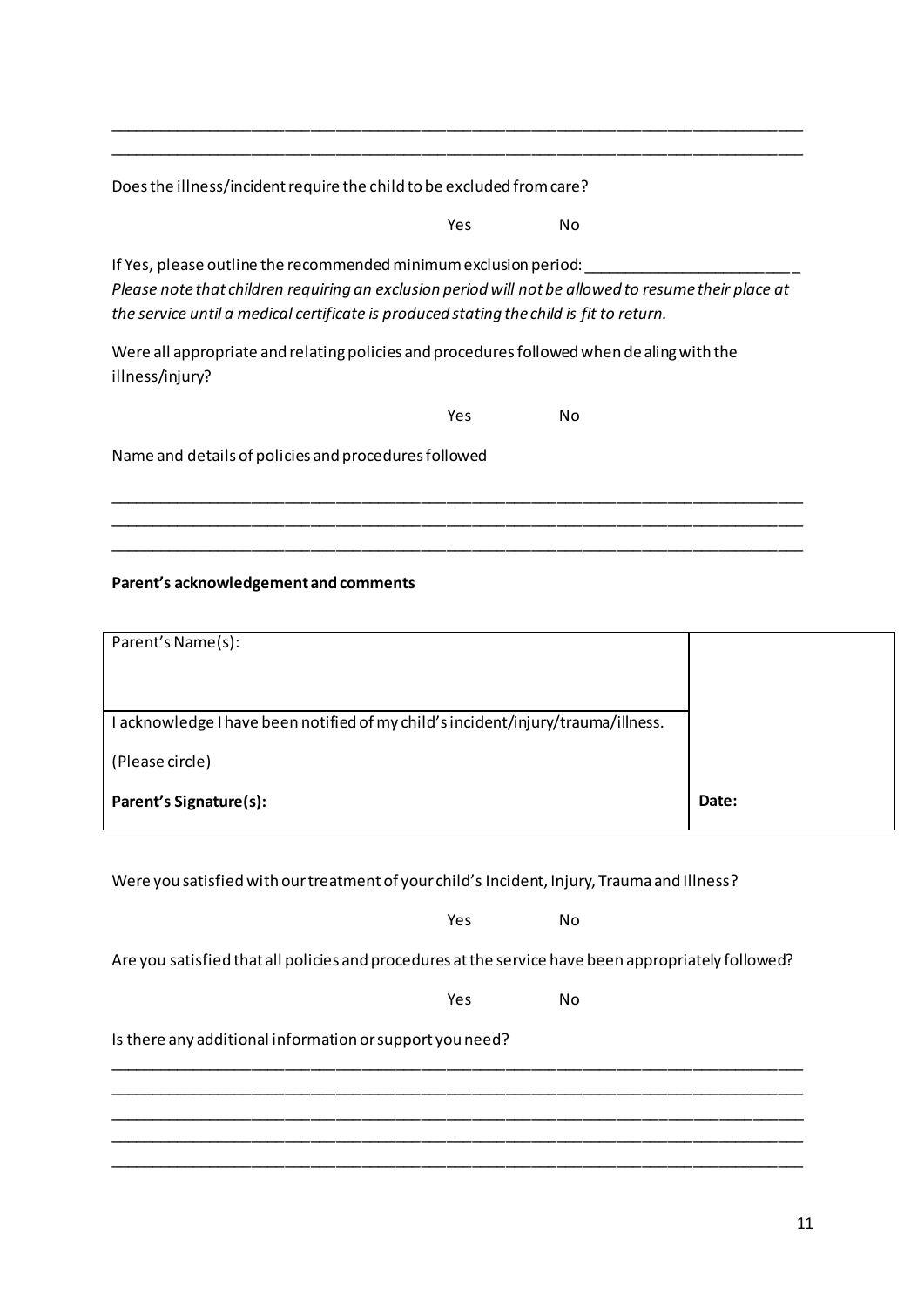Does the illness/incident require the child to be excluded from care?

Yes No

If Yes, please outline the recommended minimum exclusion period: *Please note that children requiring an exclusion period will not be allowed to resume their place at the service until a medical certificate is produced stating the child is fit to return.* 

\_\_\_\_\_\_\_\_\_\_\_\_\_\_\_\_\_\_\_\_\_\_\_\_\_\_\_\_\_\_\_\_\_\_\_\_\_\_\_\_\_\_\_\_\_\_\_\_\_\_\_\_\_\_\_\_\_\_\_\_\_\_\_\_\_\_\_\_\_\_\_\_\_\_\_\_\_\_\_\_\_\_ \_\_\_\_\_\_\_\_\_\_\_\_\_\_\_\_\_\_\_\_\_\_\_\_\_\_\_\_\_\_\_\_\_\_\_\_\_\_\_\_\_\_\_\_\_\_\_\_\_\_\_\_\_\_\_\_\_\_\_\_\_\_\_\_\_\_\_\_\_\_\_\_\_\_\_\_\_\_\_\_\_\_ \_\_\_\_\_\_\_\_\_\_\_\_\_\_\_\_\_\_\_\_\_\_\_\_\_\_\_\_\_\_\_\_\_\_\_\_\_\_\_\_\_\_\_\_\_\_\_\_\_\_\_\_\_\_\_\_\_\_\_\_\_\_\_\_\_\_\_\_\_\_\_\_\_\_\_\_\_\_\_\_\_\_

\_\_\_\_\_\_\_\_\_\_\_\_\_\_\_\_\_\_\_\_\_\_\_\_\_\_\_\_\_\_\_\_\_\_\_\_\_\_\_\_\_\_\_\_\_\_\_\_\_\_\_\_\_\_\_\_\_\_\_\_\_\_\_\_\_\_\_\_\_\_\_\_\_\_\_\_\_\_\_\_\_\_ \_\_\_\_\_\_\_\_\_\_\_\_\_\_\_\_\_\_\_\_\_\_\_\_\_\_\_\_\_\_\_\_\_\_\_\_\_\_\_\_\_\_\_\_\_\_\_\_\_\_\_\_\_\_\_\_\_\_\_\_\_\_\_\_\_\_\_\_\_\_\_\_\_\_\_\_\_\_\_\_\_\_

Were all appropriate and relating policies and procedures followed when dealing with the illness/injury?

Yes No

Name and details of policies and procedures followed

## Parent's acknowledgement and comments

| Parent's Name(s):                                                                |       |
|----------------------------------------------------------------------------------|-------|
|                                                                                  |       |
| I acknowledge I have been notified of my child's incident/injury/trauma/illness. |       |
| (Please circle)                                                                  |       |
| <b>Parent's Signature(s):</b>                                                    | Date: |
|                                                                                  |       |

Were you satisfied with our treatment of your child's Incident, Injury, Trauma and Illness?

Yes No

Are you satisfied that all policies and procedures at the service have been appropriately followed?

\_\_\_\_\_\_\_\_\_\_\_\_\_\_\_\_\_\_\_\_\_\_\_\_\_\_\_\_\_\_\_\_\_\_\_\_\_\_\_\_\_\_\_\_\_\_\_\_\_\_\_\_\_\_\_\_\_\_\_\_\_\_\_\_\_\_\_\_\_\_\_\_\_\_\_\_\_\_\_\_\_\_ \_\_\_\_\_\_\_\_\_\_\_\_\_\_\_\_\_\_\_\_\_\_\_\_\_\_\_\_\_\_\_\_\_\_\_\_\_\_\_\_\_\_\_\_\_\_\_\_\_\_\_\_\_\_\_\_\_\_\_\_\_\_\_\_\_\_\_\_\_\_\_\_\_\_\_\_\_\_\_\_\_\_ \_\_\_\_\_\_\_\_\_\_\_\_\_\_\_\_\_\_\_\_\_\_\_\_\_\_\_\_\_\_\_\_\_\_\_\_\_\_\_\_\_\_\_\_\_\_\_\_\_\_\_\_\_\_\_\_\_\_\_\_\_\_\_\_\_\_\_\_\_\_\_\_\_\_\_\_\_\_\_\_\_\_ \_\_\_\_\_\_\_\_\_\_\_\_\_\_\_\_\_\_\_\_\_\_\_\_\_\_\_\_\_\_\_\_\_\_\_\_\_\_\_\_\_\_\_\_\_\_\_\_\_\_\_\_\_\_\_\_\_\_\_\_\_\_\_\_\_\_\_\_\_\_\_\_\_\_\_\_\_\_\_\_\_\_ \_\_\_\_\_\_\_\_\_\_\_\_\_\_\_\_\_\_\_\_\_\_\_\_\_\_\_\_\_\_\_\_\_\_\_\_\_\_\_\_\_\_\_\_\_\_\_\_\_\_\_\_\_\_\_\_\_\_\_\_\_\_\_\_\_\_\_\_\_\_\_\_\_\_\_\_\_\_\_\_\_\_

Yes No

Is there any additional information or support you need?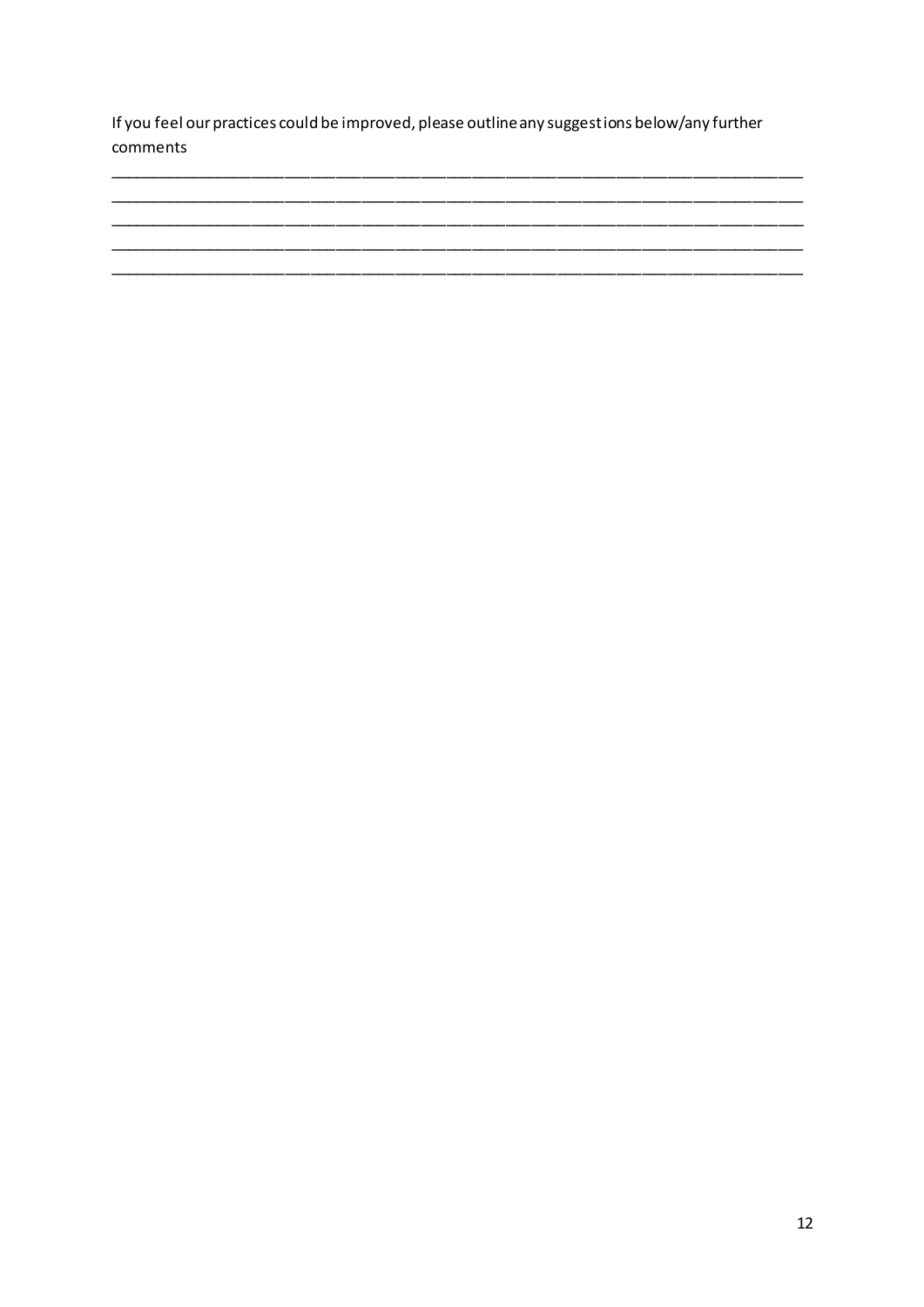If you feel our practices could be improved, please outline any suggestions below/any further comments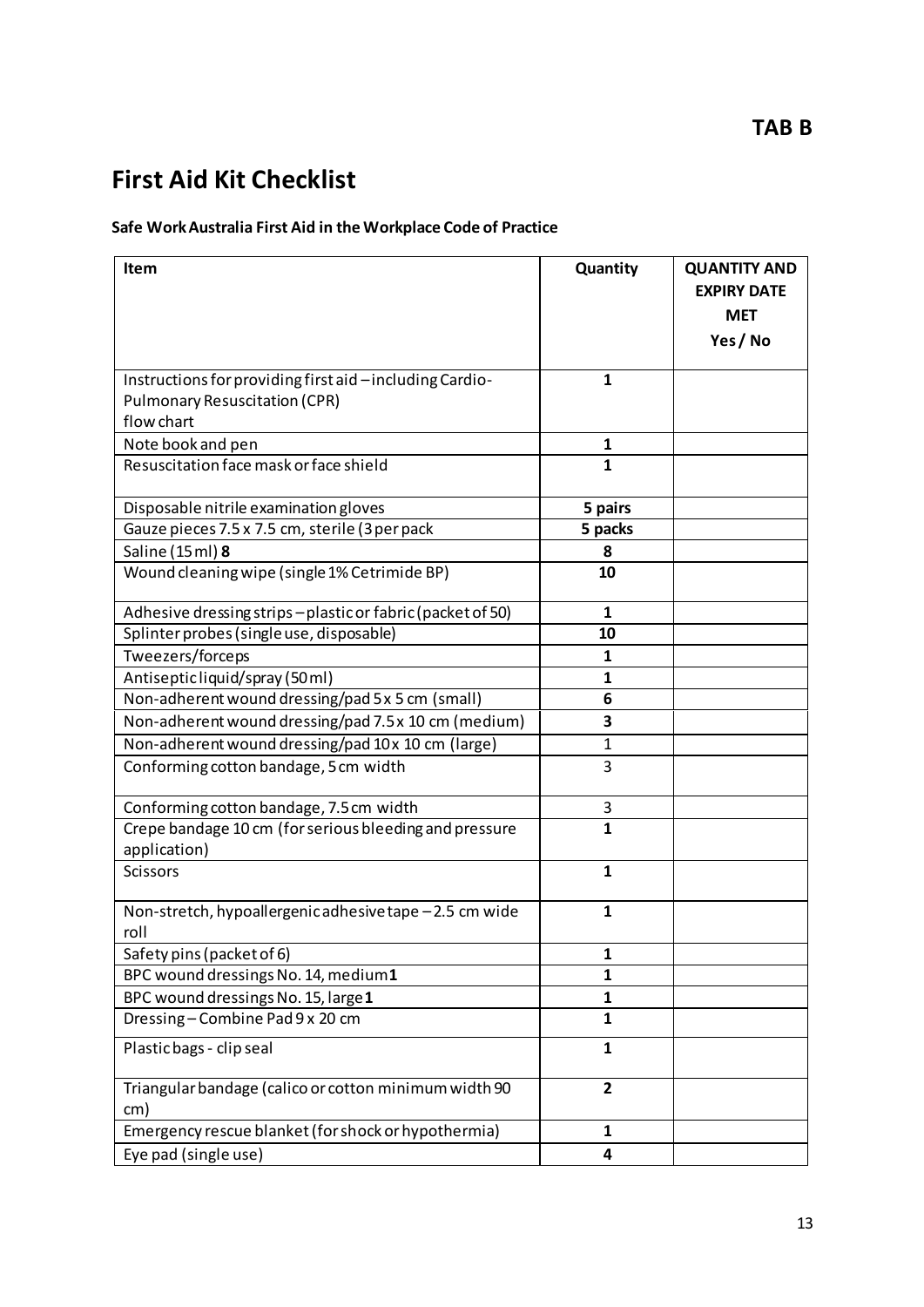# **First Aid Kit Checklist**

## **Safe Work Australia First Aid in the Workplace Code of Practice**

| <b>Item</b>                                                            | Quantity       | <b>QUANTITY AND</b><br><b>EXPIRY DATE</b><br><b>MET</b><br>Yes / No |
|------------------------------------------------------------------------|----------------|---------------------------------------------------------------------|
| Instructions for providing first aid - including Cardio-               | 1              |                                                                     |
| <b>Pulmonary Resuscitation (CPR)</b>                                   |                |                                                                     |
| flow chart                                                             |                |                                                                     |
| Note book and pen                                                      | 1              |                                                                     |
| Resuscitation face mask or face shield                                 | $\mathbf{1}$   |                                                                     |
| Disposable nitrile examination gloves                                  | 5 pairs        |                                                                     |
| Gauze pieces 7.5 x 7.5 cm, sterile (3 per pack                         | 5 packs        |                                                                     |
| Saline (15 ml) 8                                                       | 8              |                                                                     |
| Wound cleaning wipe (single 1% Cetrimide BP)                           | 10             |                                                                     |
| Adhesive dressing strips-plastic or fabric (packet of 50)              | 1              |                                                                     |
| Splinter probes (single use, disposable)                               | 10             |                                                                     |
| Tweezers/forceps                                                       | 1              |                                                                     |
| Antisepticliquid/spray (50ml)                                          | 1              |                                                                     |
| Non-adherent wound dressing/pad 5 x 5 cm (small)                       | 6              |                                                                     |
| Non-adherent wound dressing/pad 7.5 x 10 cm (medium)                   | 3              |                                                                     |
| Non-adherent wound dressing/pad 10x 10 cm (large)                      | $\mathbf{1}$   |                                                                     |
| Conforming cotton bandage, 5 cm width                                  | 3              |                                                                     |
| Conforming cotton bandage, 7.5 cm width                                | 3              |                                                                     |
| Crepe bandage 10 cm (for serious bleeding and pressure<br>application) | $\mathbf{1}$   |                                                                     |
| <b>Scissors</b>                                                        | 1              |                                                                     |
| Non-stretch, hypoallergenic adhesive tape -2.5 cm wide<br>roll         | $\mathbf{1}$   |                                                                     |
| Safety pins (packet of 6)                                              | 1              |                                                                     |
| BPC wound dressings No. 14, medium1                                    | 1              |                                                                     |
| BPC wound dressings No. 15, large 1                                    | 1              |                                                                     |
| Dressing-Combine Pad 9 x 20 cm                                         | 1              |                                                                     |
| Plastic bags - clip seal                                               | $\mathbf{1}$   |                                                                     |
| Triangular bandage (calico or cotton minimum width 90<br>cm)           | $\overline{2}$ |                                                                     |
| Emergency rescue blanket (for shock or hypothermia)                    | 1              |                                                                     |
| Eye pad (single use)                                                   | 4              |                                                                     |